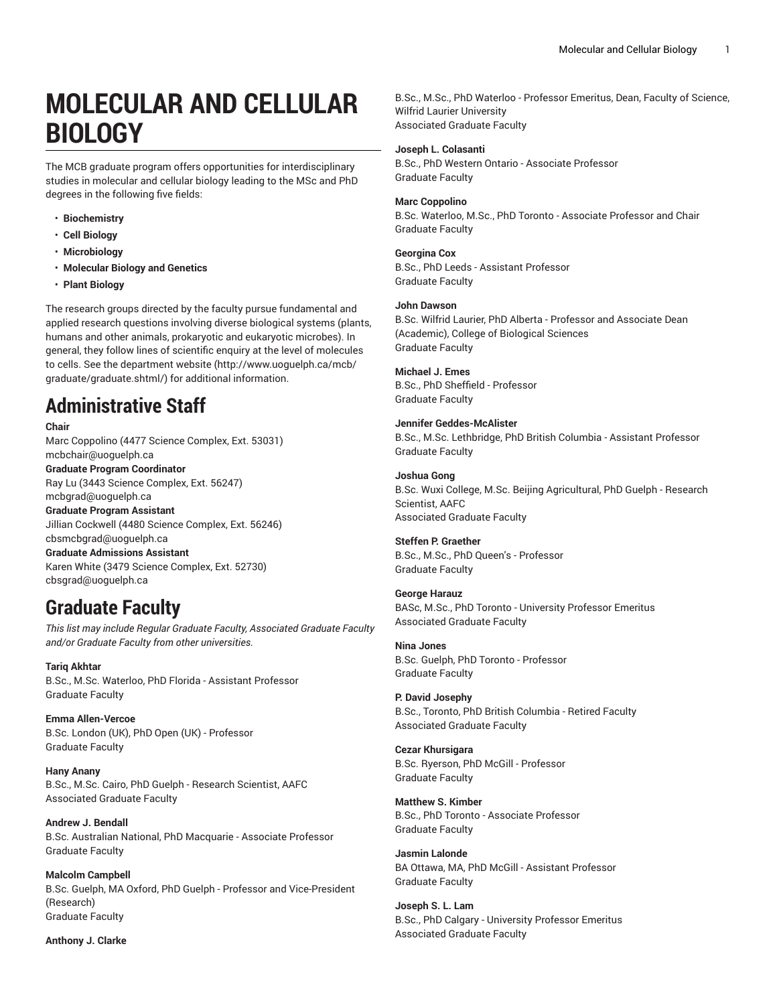# **MOLECULAR AND CELLULAR BIOLOGY**

The MCB graduate program offers opportunities for interdisciplinary studies in molecular and cellular biology leading to the MSc and PhD degrees in the following five fields:

- **Biochemistry**
- **Cell Biology**
- **Microbiology**
- **Molecular Biology and Genetics**
- **Plant Biology**

The research groups directed by the faculty pursue fundamental and applied research questions involving diverse biological systems (plants, humans and other animals, prokaryotic and eukaryotic microbes). In general, they follow lines of scientific enquiry at the level of molecules to cells. See the [department](E["�kXԅ�A]��0�X>GS�h�*=���	k�+k�[) website [\(http://www.uoguelph.ca/mcb/](E["�kXԅ�A]��0�X>GS�h�*=���	k�+k�[) [graduate/graduate.shtml/\)](E["�kXԅ�A]��0�X>GS�h�*=���	k�+k�[) for additional information.

# **Administrative Staff**

#### **Chair**

Marc Coppolino (4477 Science Complex, Ext. 53031) [mcbchair@uoguelph.ca](�J�(�D5W��W�Bj�����

) **Graduate Program Coordinator** Ray Lu (3443 Science Complex, Ext. 56247) [mcbgrad@uoguelph.ca](�n�#Ep��N���q�</R�E�j�!) **Graduate Program Assistant** Jillian Cockwell (4480 Science Complex, Ext. 56246) [cbsmcbgrad@uoguelph.ca](�w쵲:&�DJmmΩU4��ap~��\(�) **Graduate Admissions Assistant** Karen White (3479 Science Complex, Ext. 52730) [cbsgrad@uoguelph.ca](ab��Nuc� 2j-�U��+�cu\�)

## **Graduate Faculty**

*This list may include Regular Graduate Faculty, Associated Graduate Faculty and/or Graduate Faculty from other universities.*

**Tariq Akhtar** B.Sc., M.Sc. Waterloo, PhD Florida - Assistant Professor Graduate Faculty

**Emma Allen-Vercoe** B.Sc. London (UK), PhD Open (UK) - Professor Graduate Faculty

**Hany Anany** B.Sc., M.Sc. Cairo, PhD Guelph - Research Scientist, AAFC Associated Graduate Faculty

**Andrew J. Bendall** B.Sc. Australian National, PhD Macquarie - Associate Professor Graduate Faculty

**Malcolm Campbell** B.Sc. Guelph, MA Oxford, PhD Guelph - Professor and Vice-President (Research) Graduate Faculty

#### **Anthony J. Clarke**

B.Sc., M.Sc., PhD Waterloo - Professor Emeritus, Dean, Faculty of Science, Wilfrid Laurier University Associated Graduate Faculty

#### **Joseph L. Colasanti**

B.Sc., PhD Western Ontario - Associate Professor Graduate Faculty

#### **Marc Coppolino**

B.Sc. Waterloo, M.Sc., PhD Toronto - Associate Professor and Chair Graduate Faculty

#### **Georgina Cox**

B.Sc., PhD Leeds - Assistant Professor Graduate Faculty

### **John Dawson**

B.Sc. Wilfrid Laurier, PhD Alberta - Professor and Associate Dean (Academic), College of Biological Sciences Graduate Faculty

#### **Michael J. Emes**

B.Sc., PhD Sheffield - Professor Graduate Faculty

**Jennifer Geddes-McAlister**

B.Sc., M.Sc. Lethbridge, PhD British Columbia - Assistant Professor Graduate Faculty

**Joshua Gong** B.Sc. Wuxi College, M.Sc. Beijing Agricultural, PhD Guelph - Research

Scientist, AAFC Associated Graduate Faculty

## **Steffen P. Graether**

B.Sc., M.Sc., PhD Queen's - Professor Graduate Faculty

**George Harauz** BASc, M.Sc., PhD Toronto - University Professor Emeritus Associated Graduate Faculty

**Nina Jones** B.Sc. Guelph, PhD Toronto - Professor Graduate Faculty

### **P. David Josephy** B.Sc., Toronto, PhD British Columbia - Retired Faculty Associated Graduate Faculty

**Cezar Khursigara** B.Sc. Ryerson, PhD McGill - Professor Graduate Faculty

**Matthew S. Kimber** B.Sc., PhD Toronto - Associate Professor Graduate Faculty

**Jasmin Lalonde** BA Ottawa, MA, PhD McGill - Assistant Professor Graduate Faculty

**Joseph S. L. Lam** B.Sc., PhD Calgary - University Professor Emeritus Associated Graduate Faculty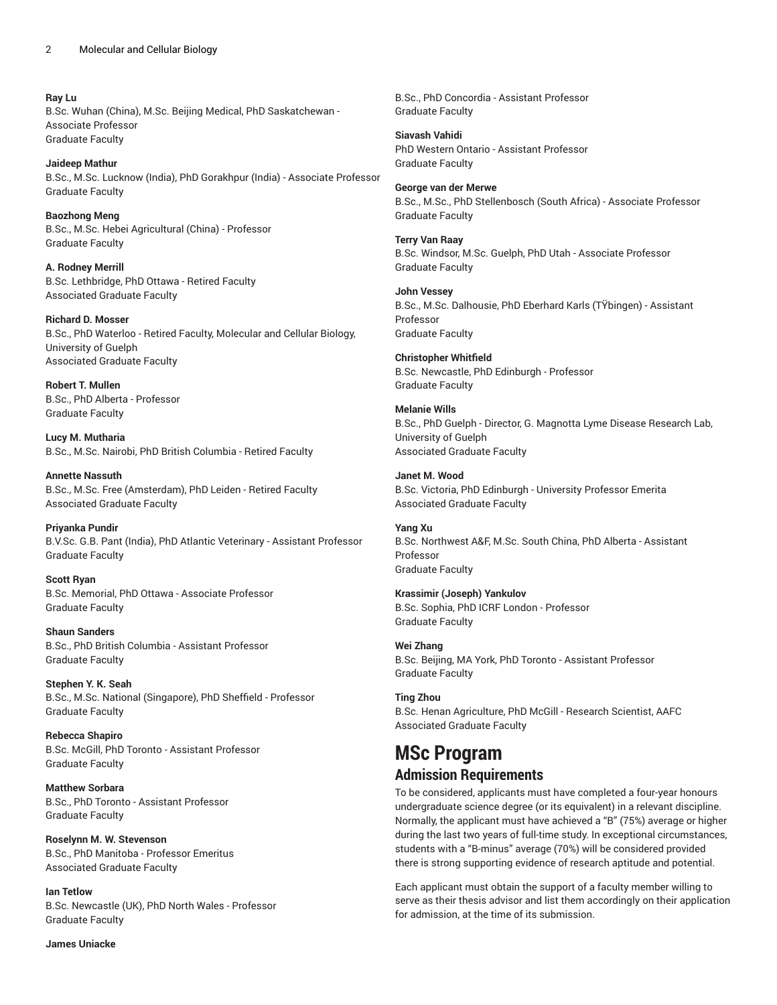**Ray Lu** B.Sc. Wuhan (China), M.Sc. Beijing Medical, PhD Saskatchewan - Associate Professor Graduate Faculty

**Jaideep Mathur** B.Sc., M.Sc. Lucknow (India), PhD Gorakhpur (India) - Associate Professor Graduate Faculty

**Baozhong Meng** B.Sc., M.Sc. Hebei Agricultural (China) - Professor Graduate Faculty

**A. Rodney Merrill** B.Sc. Lethbridge, PhD Ottawa - Retired Faculty Associated Graduate Faculty

**Richard D. Mosser** B.Sc., PhD Waterloo - Retired Faculty, Molecular and Cellular Biology, University of Guelph Associated Graduate Faculty

**Robert T. Mullen** B.Sc., PhD Alberta - Professor Graduate Faculty

**Lucy M. Mutharia** B.Sc., M.Sc. Nairobi, PhD British Columbia - Retired Faculty

**Annette Nassuth** B.Sc., M.Sc. Free (Amsterdam), PhD Leiden - Retired Faculty Associated Graduate Faculty

**Priyanka Pundir** B.V.Sc. G.B. Pant (India), PhD Atlantic Veterinary - Assistant Professor Graduate Faculty

**Scott Ryan** B.Sc. Memorial, PhD Ottawa - Associate Professor Graduate Faculty

**Shaun Sanders** B.Sc., PhD British Columbia - Assistant Professor Graduate Faculty

**Stephen Y. K. Seah** B.Sc., M.Sc. National (Singapore), PhD Sheffield - Professor Graduate Faculty

**Rebecca Shapiro** B.Sc. McGill, PhD Toronto - Assistant Professor Graduate Faculty

**Matthew Sorbara** B.Sc., PhD Toronto - Assistant Professor Graduate Faculty

**Roselynn M. W. Stevenson** B.Sc., PhD Manitoba - Professor Emeritus Associated Graduate Faculty

**Ian Tetlow** B.Sc. Newcastle (UK), PhD North Wales - Professor Graduate Faculty

**James Uniacke**

B.Sc., PhD Concordia - Assistant Professor Graduate Faculty

**Siavash Vahidi** PhD Western Ontario - Assistant Professor Graduate Faculty

**George van der Merwe** B.Sc., M.Sc., PhD Stellenbosch (South Africa) - Associate Professor Graduate Faculty

**Terry Van Raay** B.Sc. Windsor, M.Sc. Guelph, PhD Utah - Associate Professor Graduate Faculty

**John Vessey** B.Sc., M.Sc. Dalhousie, PhD Eberhard Karls (TŸbingen) - Assistant Professor Graduate Faculty

**Christopher Whitfield** B.Sc. Newcastle, PhD Edinburgh - Professor Graduate Faculty

**Melanie Wills** B.Sc., PhD Guelph - Director, G. Magnotta Lyme Disease Research Lab, University of Guelph Associated Graduate Faculty

**Janet M. Wood** B.Sc. Victoria, PhD Edinburgh - University Professor Emerita Associated Graduate Faculty

**Yang Xu** B.Sc. Northwest A&F, M.Sc. South China, PhD Alberta - Assistant Professor Graduate Faculty

**Krassimir (Joseph) Yankulov** B.Sc. Sophia, PhD ICRF London - Professor Graduate Faculty

**Wei Zhang** B.Sc. Beijing, MA York, PhD Toronto - Assistant Professor Graduate Faculty

**Ting Zhou** B.Sc. Henan Agriculture, PhD McGill - Research Scientist, AAFC Associated Graduate Faculty

## **MSc Program Admission Requirements**

To be considered, applicants must have completed a four-year honours undergraduate science degree (or its equivalent) in a relevant discipline. Normally, the applicant must have achieved a "B" (75%) average or higher during the last two years of full-time study. In exceptional circumstances, students with a "B-minus" average (70%) will be considered provided there is strong supporting evidence of research aptitude and potential.

Each applicant must obtain the support of a faculty member willing to serve as their thesis advisor and list them accordingly on their application for admission, at the time of its submission.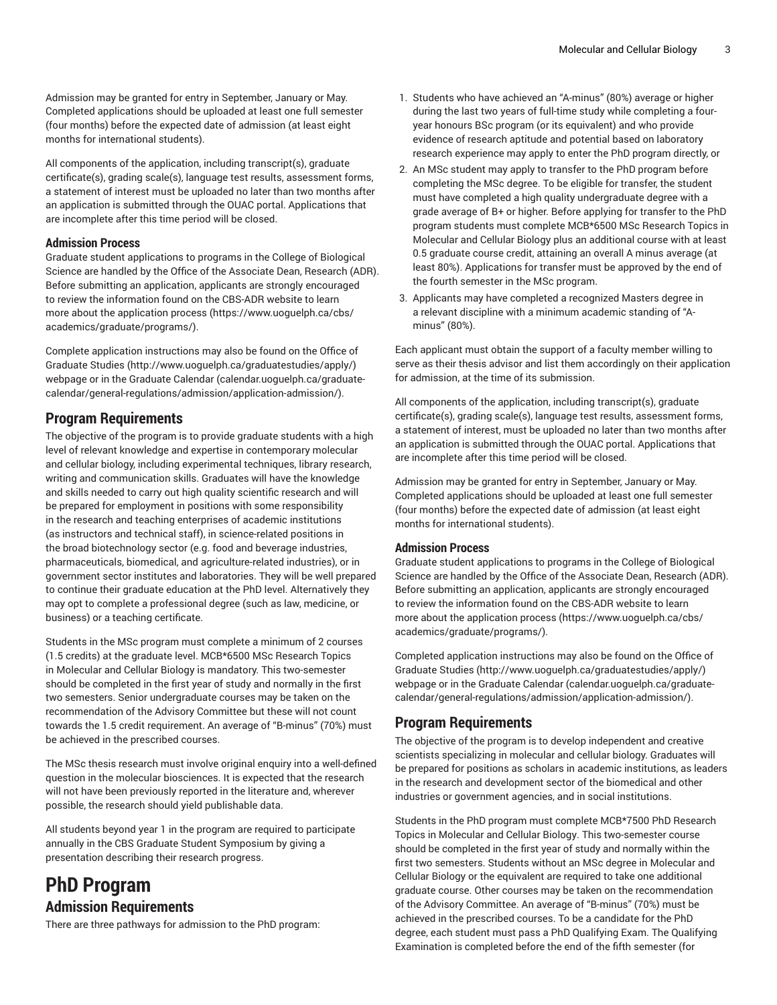Admission may be granted for entry in September, January or May. Completed applications should be uploaded at least one full semester (four months) before the expected date of admission (at least eight months for international students).

All components of the application, including transcript(s), graduate certificate(s), grading scale(s), language test results, assessment forms, a statement of interest must be uploaded no later than two months after an application is submitted through the OUAC portal. Applications that are incomplete after this time period will be closed.

## **Admission Process**

Graduate student applications to programs in the College of Biological Science are handled by the Office of the Associate Dean, Research (ADR). Before submitting an application, applicants are strongly encouraged to review the information found on the CBS-ADR website to learn more about the [application](�?4�y�}�}ti��0w) process ([https://www.uoguelph.ca/cbs/](�?4�y�}�}ti��0w) [academics/graduate/programs/\)](�?4�y�}�}ti��0w).

Complete application instructions may also be found on the [Office of](�n��sPB���g�Sݷ+) [Graduate Studies](�n��sPB���g�Sݷ+) ([http://www.uoguelph.ca/graduatestudies/apply/](�n��sPB���g�Sݷ+)) webpage or in the [Graduate Calendar \(calendar.uoguelph.ca/graduate](vz�p��\
 u:;�ǣ���#r9μ�����V�R`�g*���;���|�&롥�TYcXd\�ݸǗ�ǻ��E��ɕc�dsқy��uM*)[calendar/general-regulations/admission/application-admission/\)](vz�p��\
 u:;�ǣ���#r9μ�����V�R`�g*���;���|�&롥�TYcXd\�ݸǗ�ǻ��E��ɕc�dsқy��uM*).

## **Program Requirements**

The objective of the program is to provide graduate students with a high level of relevant knowledge and expertise in contemporary molecular and cellular biology, including experimental techniques, library research, writing and communication skills. Graduates will have the knowledge and skills needed to carry out high quality scientific research and will be prepared for employment in positions with some responsibility in the research and teaching enterprises of academic institutions (as instructors and technical staff), in science-related positions in the broad biotechnology sector (e.g. food and beverage industries, pharmaceuticals, biomedical, and agriculture-related industries), or in government sector institutes and laboratories. They will be well prepared to continue their graduate education at the PhD level. Alternatively they may opt to complete a professional degree (such as law, medicine, or business) or a teaching certificate.

Students in the MSc program must complete a minimum of 2 courses (1.5 credits) at the graduate level. MCB\*6500 MSc Research Topics in Molecular and Cellular Biology is mandatory. This two-semester should be completed in the first year of study and normally in the first two semesters. Senior undergraduate courses may be taken on the recommendation of the Advisory Committee but these will not count towards the 1.5 credit requirement. An average of "B-minus" (70%) must be achieved in the prescribed courses.

The MSc thesis research must involve original enquiry into a well-defined question in the molecular biosciences. It is expected that the research will not have been previously reported in the literature and, wherever possible, the research should yield publishable data.

All students beyond year 1 in the program are required to participate annually in the CBS Graduate Student Symposium by giving a presentation describing their research progress.

## **PhD Program Admission Requirements**

There are three pathways for admission to the PhD program:

- 1. Students who have achieved an "A-minus" (80%) average or higher during the last two years of full-time study while completing a fouryear honours BSc program (or its equivalent) and who provide evidence of research aptitude and potential based on laboratory research experience may apply to enter the PhD program directly, or
- 2. An MSc student may apply to transfer to the PhD program before completing the MSc degree. To be eligible for transfer, the student must have completed a high quality undergraduate degree with a grade average of B+ or higher. Before applying for transfer to the PhD program students must complete MCB\*6500 MSc Research Topics in Molecular and Cellular Biology plus an additional course with at least 0.5 graduate course credit, attaining an overall A minus average (at least 80%). Applications for transfer must be approved by the end of the fourth semester in the MSc program.
- 3. Applicants may have completed a recognized Masters degree in a relevant discipline with a minimum academic standing of "Aminus" (80%).

Each applicant must obtain the support of a faculty member willing to serve as their thesis advisor and list them accordingly on their application for admission, at the time of its submission.

All components of the application, including transcript(s), graduate certificate(s), grading scale(s), language test results, assessment forms, a statement of interest, must be uploaded no later than two months after an application is submitted through the OUAC portal. Applications that are incomplete after this time period will be closed.

Admission may be granted for entry in September, January or May. Completed applications should be uploaded at least one full semester (four months) before the expected date of admission (at least eight months for international students).

## **Admission Process**

Graduate student applications to programs in the College of Biological Science are handled by the Office of the Associate Dean, Research (ADR). Before submitting an application, applicants are strongly encouraged to review the information found on the CBS-ADR website to learn more about the [application](�?4�y�}�}ti��0w) process [\(https://www.uoguelph.ca/cbs/](�?4�y�}�}ti��0w) [academics/graduate/programs/](�?4�y�}�}ti��0w)).

Completed application instructions may also be found on the [Office of](�n��sPB���g�Sݷ+) [Graduate Studies \(http://www.uoguelph.ca/graduatestudies/apply/\)](�n��sPB���g�Sݷ+) webpage or in the [Graduate Calendar](vz�p��\
 u:;�ǣ���#r9μ�����V�R`�g*���;���|�&롥�TYcXd\�ݸǗ�ǻ��E��ɕc�dsқy��uM*) ([calendar.uoguelph.ca/graduate](vz�p��\
 u:;�ǣ���#r9μ�����V�R`�g*���;���|�&롥�TYcXd\�ݸǗ�ǻ��E��ɕc�dsқy��uM*)[calendar/general-regulations/admission/application-admission/\)](vz�p��\
 u:;�ǣ���#r9μ�����V�R`�g*���;���|�&롥�TYcXd\�ݸǗ�ǻ��E��ɕc�dsқy��uM*).

## **Program Requirements**

The objective of the program is to develop independent and creative scientists specializing in molecular and cellular biology. Graduates will be prepared for positions as scholars in academic institutions, as leaders in the research and development sector of the biomedical and other industries or government agencies, and in social institutions.

Students in the PhD program must complete MCB\*7500 PhD Research Topics in Molecular and Cellular Biology. This two-semester course should be completed in the first year of study and normally within the first two semesters. Students without an MSc degree in Molecular and Cellular Biology or the equivalent are required to take one additional graduate course. Other courses may be taken on the recommendation of the Advisory Committee. An average of "B-minus" (70%) must be achieved in the prescribed courses. To be a candidate for the PhD degree, each student must pass a PhD Qualifying Exam. The Qualifying Examination is completed before the end of the fifth semester (for